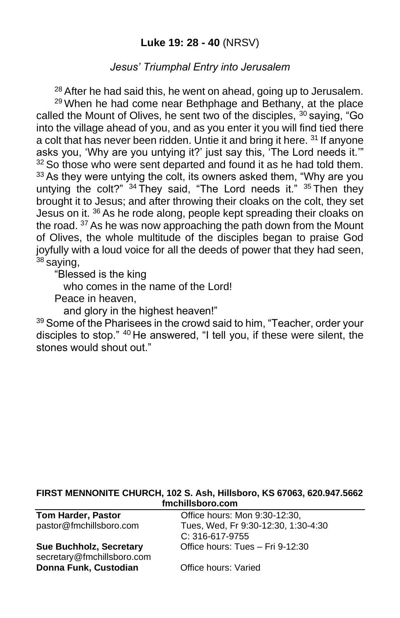## **Luke 19: 28 - 40** (NRSV)

#### *Jesus' Triumphal Entry into Jerusalem*

 $28$  After he had said this, he went on ahead, going up to Jerusalem. <sup>29</sup> When he had come near Bethphage and Bethany, at the place called the Mount of Olives, he sent two of the disciples, <sup>30</sup> saying, "Go into the village ahead of you, and as you enter it you will find tied there a colt that has never been ridden. Untie it and bring it here. <sup>31</sup> If anyone asks you, 'Why are you untying it?' just say this, 'The Lord needs it.'"  $32$  So those who were sent departed and found it as he had told them. <sup>33</sup> As they were untying the colt, its owners asked them, "Why are you untying the colt?" <sup>34</sup> They said, "The Lord needs it." <sup>35</sup> Then they brought it to Jesus; and after throwing their cloaks on the colt, they set Jesus on it. <sup>36</sup> As he rode along, people kept spreading their cloaks on the road. <sup>37</sup> As he was now approaching the path down from the Mount of Olives, the whole multitude of the disciples began to praise God joyfully with a loud voice for all the deeds of power that they had seen,  $38$  saving,

"Blessed is the king

who comes in the name of the Lord!

Peace in heaven,

and glory in the highest heaven!"

<sup>39</sup> Some of the Pharisees in the crowd said to him, "Teacher, order your disciples to stop." <sup>40</sup> He answered, "I tell you, if these were silent, the stones would shout out."

#### **FIRST MENNONITE CHURCH, 102 S. Ash, Hillsboro, KS 67063, 620.947.5662 fmchillsboro.com**

secretary@fmchillsboro.com **Donna Funk, Custodian Office hours: Varied** 

**Tom Harder, Pastor Chice hours: Mon 9:30-12:30,** pastor@fmchillsboro.com Tues, Wed, Fr 9:30-12:30, 1:30-4:30 C: 316-617-9755 **Sue Buchholz, Secretary** Office hours: Tues – Fri 9-12:30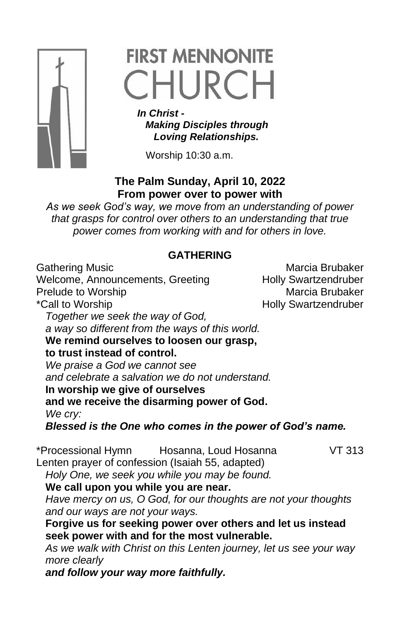

# **FIRST MENNONITE** CHURCH

 *In Christ - Making Disciples through Loving Relationships.*

Worship 10:30 a.m.

# **The Palm Sunday, April 10, 2022 From power over to power with**

*As we seek God's way, we move from an understanding of power that grasps for control over others to an understanding that true power comes from working with and for others in love.*

## **GATHERING**

Gathering Music **Marcia Brubaker** Marcia Brubaker Welcome, Announcements, Greeting Holly Swartzendruber Prelude to Worship **Marcia Brubaker** Marcia Brubaker \*Call to Worship **Example 2018** Holly Swartzendruber *Together we seek the way of God, a way so different from the ways of this world.* **We remind ourselves to loosen our grasp, to trust instead of control.** *We praise a God we cannot see and celebrate a salvation we do not understand.* **In worship we give of ourselves and we receive the disarming power of God.** *We cry: Blessed is the One who comes in the power of God's name.* \*Processional Hymn Hosanna, Loud Hosanna VT 313 Lenten prayer of confession (Isaiah 55, adapted) *Holy One, we seek you while you may be found.* **We call upon you while you are near.** *Have mercy on us, O God, for our thoughts are not your thoughts and our ways are not your ways.* **Forgive us for seeking power over others and let us instead seek power with and for the most vulnerable.** *As we walk with Christ on this Lenten journey, let us see your way more clearly and follow your way more faithfully.*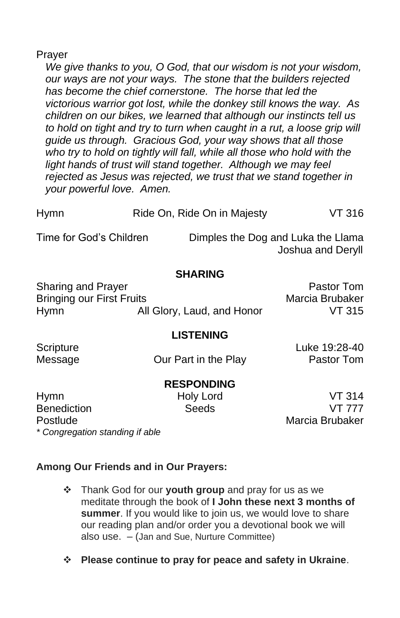#### Prayer

*We give thanks to you, O God, that our wisdom is not your wisdom, our ways are not your ways. The stone that the builders rejected has become the chief cornerstone. The horse that led the victorious warrior got lost, while the donkey still knows the way. As children on our bikes, we learned that although our instincts tell us*  to hold on tight and try to turn when caught in a rut, a loose grip will *guide us through. Gracious God, your way shows that all those*  who try to hold on tightly will fall, while all those who hold with the *light hands of trust will stand together. Although we may feel rejected as Jesus was rejected, we trust that we stand together in your powerful love. Amen.*

| <b>Hymn</b>             | Ride On, Ride On in Majesty |                                    | VT 316            |
|-------------------------|-----------------------------|------------------------------------|-------------------|
| Time for God's Children |                             | Dimples the Dog and Luka the Llama | Joshua and Deryll |
|                         |                             |                                    |                   |

#### **SHARING**

| Sharing and Prayer        |                            | Pastor Tom      |
|---------------------------|----------------------------|-----------------|
| Bringing our First Fruits |                            | Marcia Brubaker |
| Hymn                      | All Glory, Laud, and Honor | VT 315          |

## **LISTENING**

Message **Carry Cour Part in the Play** Pastor Tom

Scripture Luke 19:28-40

#### **RESPONDING**

Hymn Holy Lord VT 314 Benediction Seeds VT 777 Postlude **Marcia Brubaker** *\* Congregation standing if able*

## **Among Our Friends and in Our Prayers:**

- ❖ Thank God for our **youth group** and pray for us as we meditate through the book of **I John these next 3 months of summer**. If you would like to join us, we would love to share our reading plan and/or order you a devotional book we will also use. – (Jan and Sue, Nurture Committee)
- ❖ **Please continue to pray for peace and safety in Ukraine**.